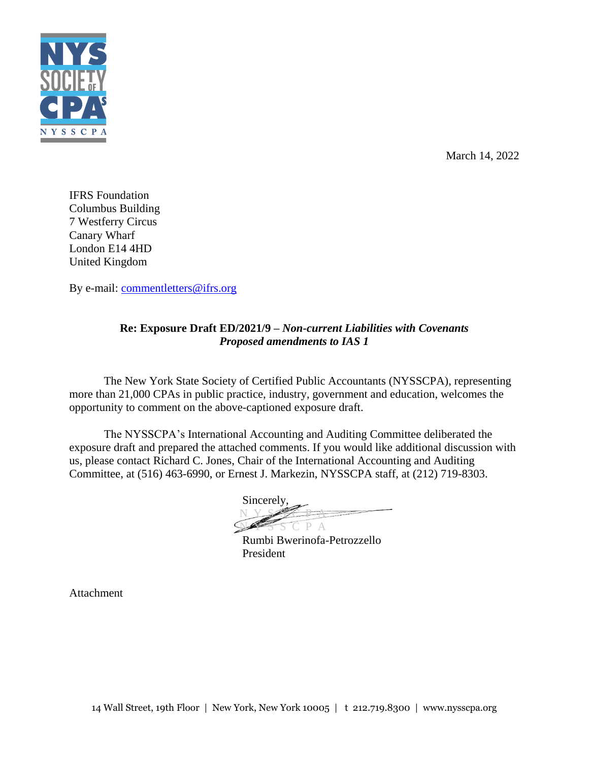

March 14, 2022

IFRS Foundation Columbus Building 7 Westferry Circus Canary Wharf London E14 4HD United Kingdom

By e-mail: [commentletters@ifrs.org](mailto:commentletters@ifrs.org)

# **Re: Exposure Draft ED/2021/9 –** *Non-current Liabilities with Covenants Proposed amendments to IAS 1*

The New York State Society of Certified Public Accountants (NYSSCPA), representing more than 21,000 CPAs in public practice, industry, government and education, welcomes the opportunity to comment on the above-captioned exposure draft.

The NYSSCPA's International Accounting and Auditing Committee deliberated the exposure draft and prepared the attached comments. If you would like additional discussion with us, please contact Richard C. Jones, Chair of the International Accounting and Auditing Committee, at (516) 463-6990, or Ernest J. Markezin, NYSSCPA staff, at (212) 719-8303.

Sincerely, **N** Y S  $\rightarrow$  P  $\rightarrow$  $P \Delta$ 

Rumbi Bwerinofa-Petrozzello President

Attachment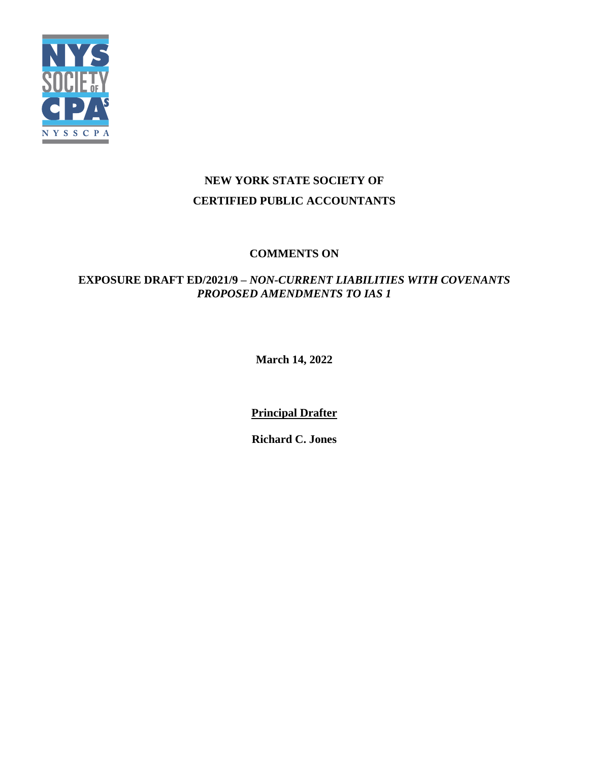

# **NEW YORK STATE SOCIETY OF CERTIFIED PUBLIC ACCOUNTANTS**

# **COMMENTS ON**

# **EXPOSURE DRAFT ED/2021/9 –** *NON-CURRENT LIABILITIES WITH COVENANTS PROPOSED AMENDMENTS TO IAS 1*

**March 14, 2022**

**Principal Drafter**

**Richard C. Jones**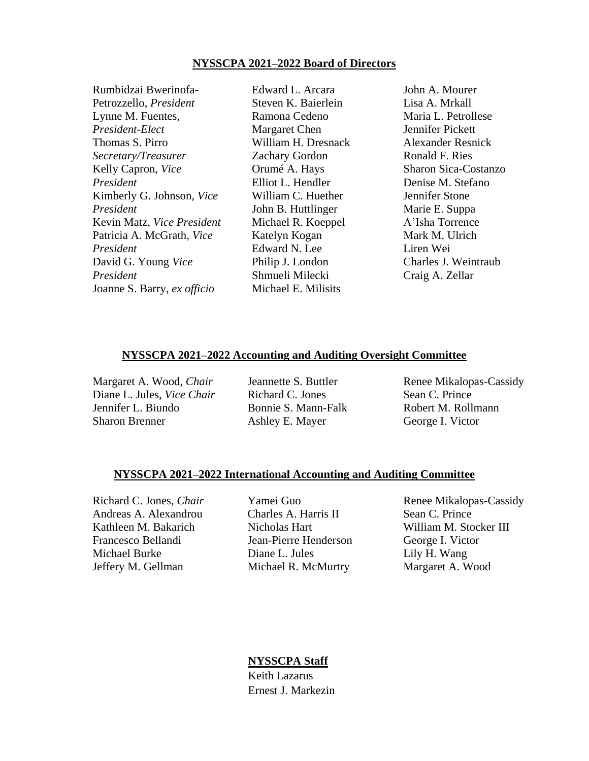#### **NYSSCPA 2021–2022 Board of Directors**

Rumbidzai Bwerinofa-Petrozzello, *President* Lynne M. Fuentes, *President-Elect* Thomas S. Pirro *Secretary/Treasurer* Kelly Capron, *Vice President* Kimberly G. Johnson, *Vice President* Kevin Matz, *Vice President* Patricia A. McGrath, *Vice President* David G. Young *Vice President* Joanne S. Barry, *ex officio*

Edward L. Arcara Steven K. Baierlein Ramona Cedeno Margaret Chen William H. Dresnack Zachary Gordon Orumé A. Hays Elliot L. Hendler William C. Huether John B. Huttlinger Michael R. Koeppel Katelyn Kogan Edward N. Lee Philip J. London Shmueli Milecki Michael E. Milisits

John A. Mourer Lisa A. Mrkall Maria L. Petrollese Jennifer Pickett Alexander Resnick Ronald F. Ries Sharon Sica-Costanzo Denise M. Stefano Jennifer Stone Marie E. Suppa A'Isha Torrence Mark M. Ulrich Liren Wei Charles J. Weintraub Craig A. Zellar

#### **NYSSCPA 2021–2022 Accounting and Auditing Oversight Committee**

Margaret A. Wood, *Chair* Diane L. Jules, *Vice Chair* Jennifer L. Biundo Sharon Brenner

Jeannette S. Buttler Richard C. Jones Bonnie S. Mann-Falk Ashley E. Mayer

Renee Mikalopas-Cassidy Sean C. Prince Robert M. Rollmann George I. Victor

#### **NYSSCPA 2021–2022 International Accounting and Auditing Committee**

Andreas A. Alexandrou Charles A. Harris II Sean C. Prince Kathleen M. Bakarich Nicholas Hart Nilliam M. Stocker III Francesco Bellandi Jean-Pierre Henderson George I. Victor Michael Burke Diane L. Jules Lily H. Wang Jeffery M. Gellman Michael R. McMurtry Margaret A. Wood

Richard C. Jones, *Chair* Yamei Guo Renee Mikalopas-Cassidy

#### **NYSSCPA Staff**

Keith Lazarus Ernest J. Markezin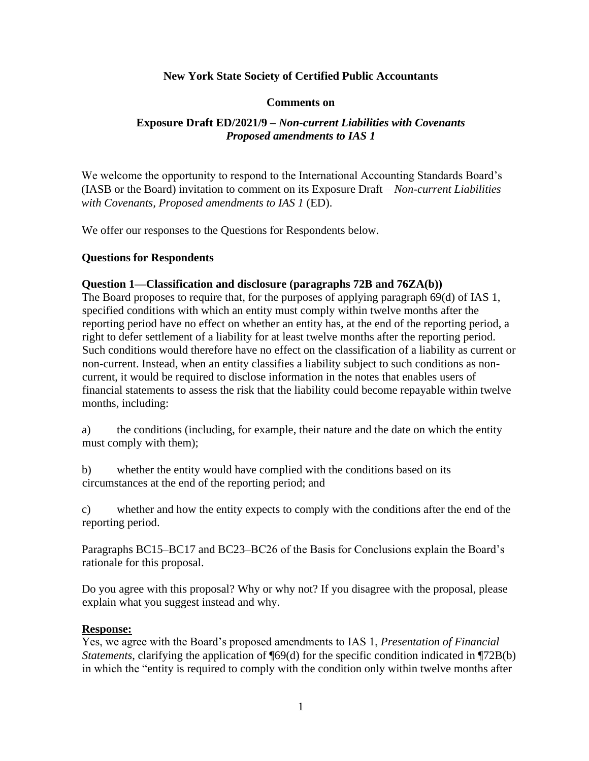### **New York State Society of Certified Public Accountants**

#### **Comments on**

# **Exposure Draft ED/2021/9 –** *Non-current Liabilities with Covenants Proposed amendments to IAS 1*

We welcome the opportunity to respond to the International Accounting Standards Board's (IASB or the Board) invitation to comment on its Exposure Draft – *Non-current Liabilities with Covenants, Proposed amendments to IAS 1* (ED).

We offer our responses to the Questions for Respondents below.

#### **Questions for Respondents**

#### **Question 1—Classification and disclosure (paragraphs 72B and 76ZA(b))**

The Board proposes to require that, for the purposes of applying paragraph 69(d) of IAS 1, specified conditions with which an entity must comply within twelve months after the reporting period have no effect on whether an entity has, at the end of the reporting period, a right to defer settlement of a liability for at least twelve months after the reporting period. Such conditions would therefore have no effect on the classification of a liability as current or non-current. Instead, when an entity classifies a liability subject to such conditions as noncurrent, it would be required to disclose information in the notes that enables users of financial statements to assess the risk that the liability could become repayable within twelve months, including:

a) the conditions (including, for example, their nature and the date on which the entity must comply with them);

b) whether the entity would have complied with the conditions based on its circumstances at the end of the reporting period; and

c) whether and how the entity expects to comply with the conditions after the end of the reporting period.

Paragraphs BC15–BC17 and BC23–BC26 of the Basis for Conclusions explain the Board's rationale for this proposal.

Do you agree with this proposal? Why or why not? If you disagree with the proposal, please explain what you suggest instead and why.

#### **Response:**

Yes, we agree with the Board's proposed amendments to IAS 1, *Presentation of Financial Statements*, clarifying the application of ¶69(d) for the specific condition indicated in ¶72B(b) in which the "entity is required to comply with the condition only within twelve months after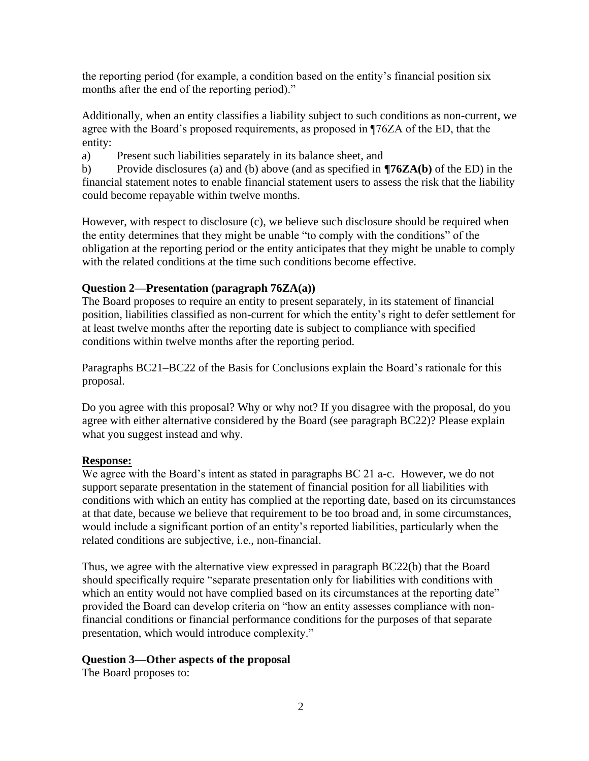the reporting period (for example, a condition based on the entity's financial position six months after the end of the reporting period)."

Additionally, when an entity classifies a liability subject to such conditions as non-current, we agree with the Board's proposed requirements, as proposed in ¶76ZA of the ED, that the entity:

a) Present such liabilities separately in its balance sheet, and

b) Provide disclosures (a) and (b) above (and as specified in **¶76ZA(b)** of the ED) in the financial statement notes to enable financial statement users to assess the risk that the liability could become repayable within twelve months.

However, with respect to disclosure (c), we believe such disclosure should be required when the entity determines that they might be unable "to comply with the conditions" of the obligation at the reporting period or the entity anticipates that they might be unable to comply with the related conditions at the time such conditions become effective.

# **Question 2—Presentation (paragraph 76ZA(a))**

The Board proposes to require an entity to present separately, in its statement of financial position, liabilities classified as non-current for which the entity's right to defer settlement for at least twelve months after the reporting date is subject to compliance with specified conditions within twelve months after the reporting period.

Paragraphs BC21–BC22 of the Basis for Conclusions explain the Board's rationale for this proposal.

Do you agree with this proposal? Why or why not? If you disagree with the proposal, do you agree with either alternative considered by the Board (see paragraph BC22)? Please explain what you suggest instead and why.

# **Response:**

We agree with the Board's intent as stated in paragraphs BC 21 a-c. However, we do not support separate presentation in the statement of financial position for all liabilities with conditions with which an entity has complied at the reporting date, based on its circumstances at that date, because we believe that requirement to be too broad and, in some circumstances, would include a significant portion of an entity's reported liabilities, particularly when the related conditions are subjective, i.e., non-financial.

Thus, we agree with the alternative view expressed in paragraph BC22(b) that the Board should specifically require "separate presentation only for liabilities with conditions with which an entity would not have complied based on its circumstances at the reporting date" provided the Board can develop criteria on "how an entity assesses compliance with nonfinancial conditions or financial performance conditions for the purposes of that separate presentation, which would introduce complexity."

# **Question 3—Other aspects of the proposal**

The Board proposes to: